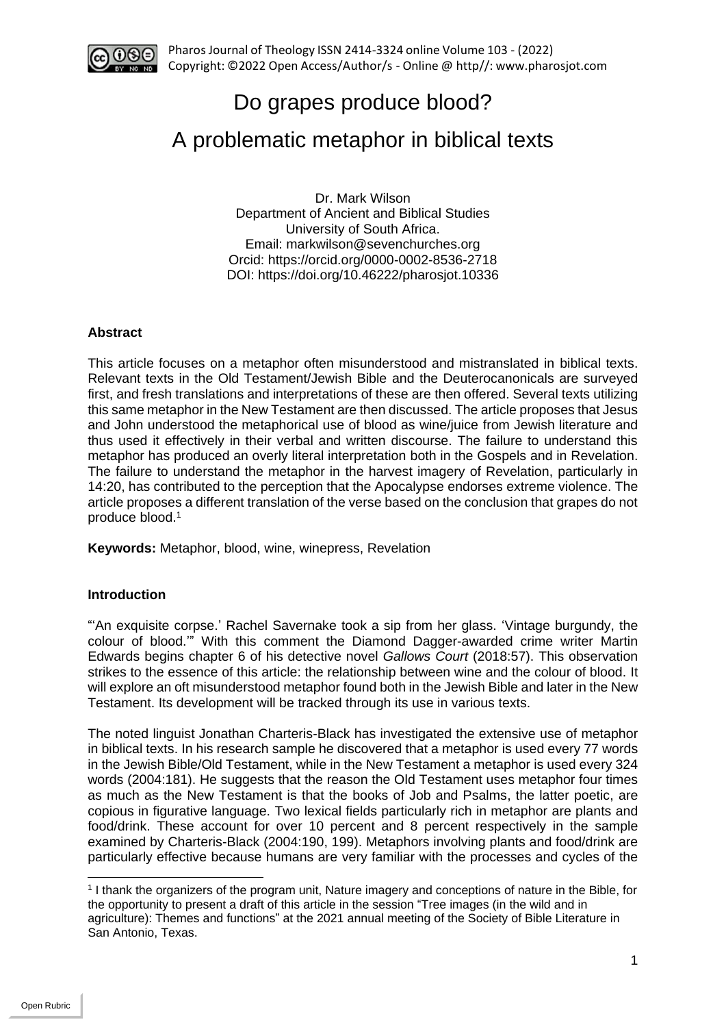

# Do grapes produce blood?

# A problematic metaphor in biblical texts

Dr. Mark Wilson Department of Ancient and Biblical Studies University of South Africa. Email: markwilson@sevenchurches.org Orcid:<https://orcid.org/0000-0002-8536-2718> DOI: https://doi.org/10.46222/pharosjot.10336

## **Abstract**

This article focuses on a metaphor often misunderstood and mistranslated in biblical texts. Relevant texts in the Old Testament/Jewish Bible and the Deuterocanonicals are surveyed first, and fresh translations and interpretations of these are then offered. Several texts utilizing this same metaphor in the New Testament are then discussed. The article proposes that Jesus and John understood the metaphorical use of blood as wine/juice from Jewish literature and thus used it effectively in their verbal and written discourse. The failure to understand this metaphor has produced an overly literal interpretation both in the Gospels and in Revelation. The failure to understand the metaphor in the harvest imagery of Revelation, particularly in 14:20, has contributed to the perception that the Apocalypse endorses extreme violence. The article proposes a different translation of the verse based on the conclusion that grapes do not produce blood.<sup>1</sup>

**Keywords:** Metaphor, blood, wine, winepress, Revelation

### **Introduction**

"'An exquisite corpse.' Rachel Savernake took a sip from her glass. 'Vintage burgundy, the colour of blood.'" With this comment the Diamond Dagger-awarded crime writer Martin Edwards begins chapter 6 of his detective novel *Gallows Court* (2018:57). This observation strikes to the essence of this article: the relationship between wine and the colour of blood. It will explore an oft misunderstood metaphor found both in the Jewish Bible and later in the New Testament. Its development will be tracked through its use in various texts.

The noted linguist Jonathan Charteris-Black has investigated the extensive use of metaphor in biblical texts. In his research sample he discovered that a metaphor is used every 77 words in the Jewish Bible/Old Testament, while in the New Testament a metaphor is used every 324 words (2004:181). He suggests that the reason the Old Testament uses metaphor four times as much as the New Testament is that the books of Job and Psalms, the latter poetic, are copious in figurative language. Two lexical fields particularly rich in metaphor are plants and food/drink. These account for over 10 percent and 8 percent respectively in the sample examined by Charteris-Black (2004:190, 199). Metaphors involving plants and food/drink are particularly effective because humans are very familiar with the processes and cycles of the

<sup>1</sup> I thank the organizers of the program unit, Nature imagery and conceptions of nature in the Bible, for the opportunity to present a draft of this article in the session "Tree images (in the wild and in agriculture): Themes and functions" at the 2021 annual meeting of the Society of Bible Literature in San Antonio, Texas.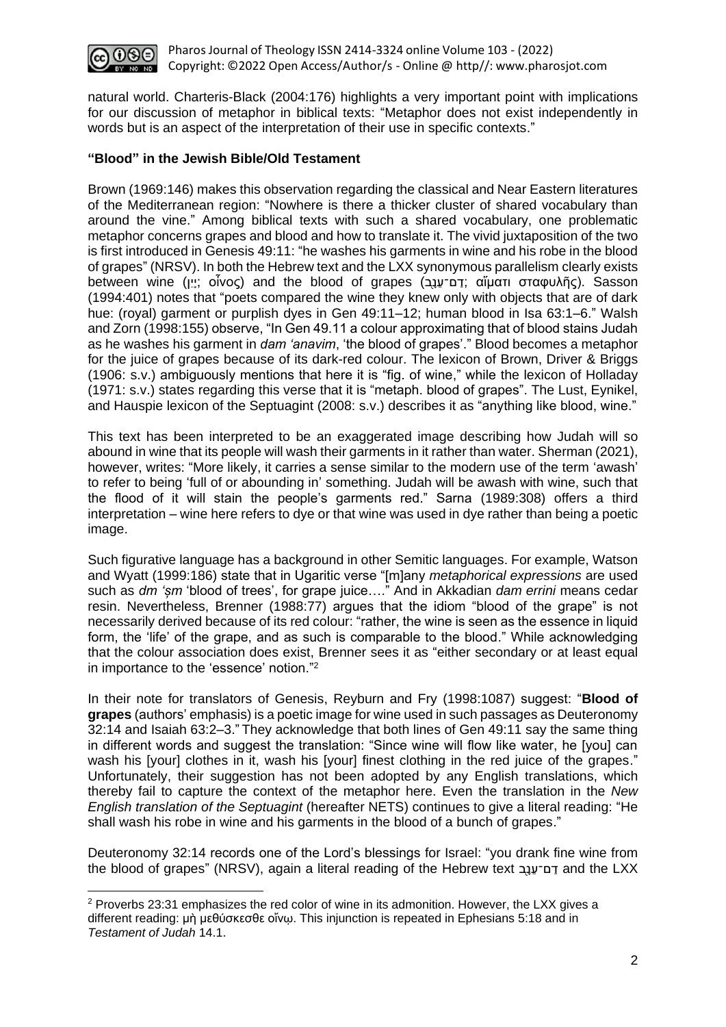

natural world. Charteris-Black (2004:176) highlights a very important point with implications for our discussion of metaphor in biblical texts: "Metaphor does not exist independently in words but is an aspect of the interpretation of their use in specific contexts."

#### **"Blood" in the Jewish Bible/Old Testament**

Brown (1969:146) makes this observation regarding the classical and Near Eastern literatures of the Mediterranean region: "Nowhere is there a thicker cluster of shared vocabulary than around the vine." Among biblical texts with such a shared vocabulary, one problematic metaphor concerns grapes and blood and how to translate it. The vivid juxtaposition of the two is first introduced in Genesis 49:11: "he washes his garments in wine and his robe in the blood of grapes" (NRSV). In both the Hebrew text and the LXX synonymous parallelism clearly exists between wine (וְיָ: οἶνος) and the blood of grapes (בַּבִּיעֲבָב; αἵματι σταφυλῆς). Sasson (1994:401) notes that "poets compared the wine they knew only with objects that are of dark hue: (royal) garment or purplish dyes in Gen 49:11–12; human blood in Isa 63:1–6." Walsh and Zorn (1998:155) observe, "In Gen 49.11 a colour approximating that of blood stains Judah as he washes his garment in *dam 'anavim*, 'the blood of grapes'." Blood becomes a metaphor for the juice of grapes because of its dark-red colour. The lexicon of Brown, Driver & Briggs (1906: s.v.) ambiguously mentions that here it is "fig. of wine," while the lexicon of Holladay (1971: s.v.) states regarding this verse that it is "metaph. blood of grapes". The Lust, Eynikel, and Hauspie lexicon of the Septuagint (2008: s.v.) describes it as "anything like blood, wine."

This text has been interpreted to be an exaggerated image describing how Judah will so abound in wine that its people will wash their garments in it rather than water. Sherman (2021), however, writes: "More likely, it carries a sense similar to the modern use of the term 'awash' to refer to being 'full of or abounding in' something. Judah will be awash with wine, such that the flood of it will stain the people's garments red." Sarna (1989:308) offers a third interpretation – wine here refers to dye or that wine was used in dye rather than being a poetic image.

Such figurative language has a background in other Semitic languages. For example, Watson and Wyatt (1999:186) state that in Ugaritic verse "[m]any *metaphorical expressions* are used such as *dm 'șm* 'blood of trees', for grape juice…." And in Akkadian *dam errini* means cedar resin. Nevertheless, Brenner (1988:77) argues that the idiom "blood of the grape" is not necessarily derived because of its red colour: "rather, the wine is seen as the essence in liquid form, the 'life' of the grape, and as such is comparable to the blood." While acknowledging that the colour association does exist, Brenner sees it as "either secondary or at least equal in importance to the 'essence' notion." 2

In their note for translators of Genesis, Reyburn and Fry (1998:1087) suggest: "**Blood of grapes** (authors' emphasis) is a poetic image for wine used in such passages as Deuteronomy 32:14 and Isaiah 63:2–3." They acknowledge that both lines of Gen 49:11 say the same thing in different words and suggest the translation: "Since wine will flow like water, he [you] can wash his [your] clothes in it, wash his [your] finest clothing in the red juice of the grapes." Unfortunately, their suggestion has not been adopted by any English translations, which thereby fail to capture the context of the metaphor here. Even the translation in the *New English translation of the Septuagint* (hereafter NETS) continues to give a literal reading: "He shall wash his robe in wine and his garments in the blood of a bunch of grapes."

Deuteronomy 32:14 records one of the Lord's blessings for Israel: "you drank fine wine from the blood of grapes" (NRSV), again a literal reading of the Hebrew text דם־ענב and the LXX

 $2$  Proverbs 23:31 emphasizes the red color of wine in its admonition. However, the LXX gives a different reading: μὴ μεθύσκεσθε οἴνῳ. This injunction is repeated in Ephesians 5:18 and in *Testament of Judah* 14.1.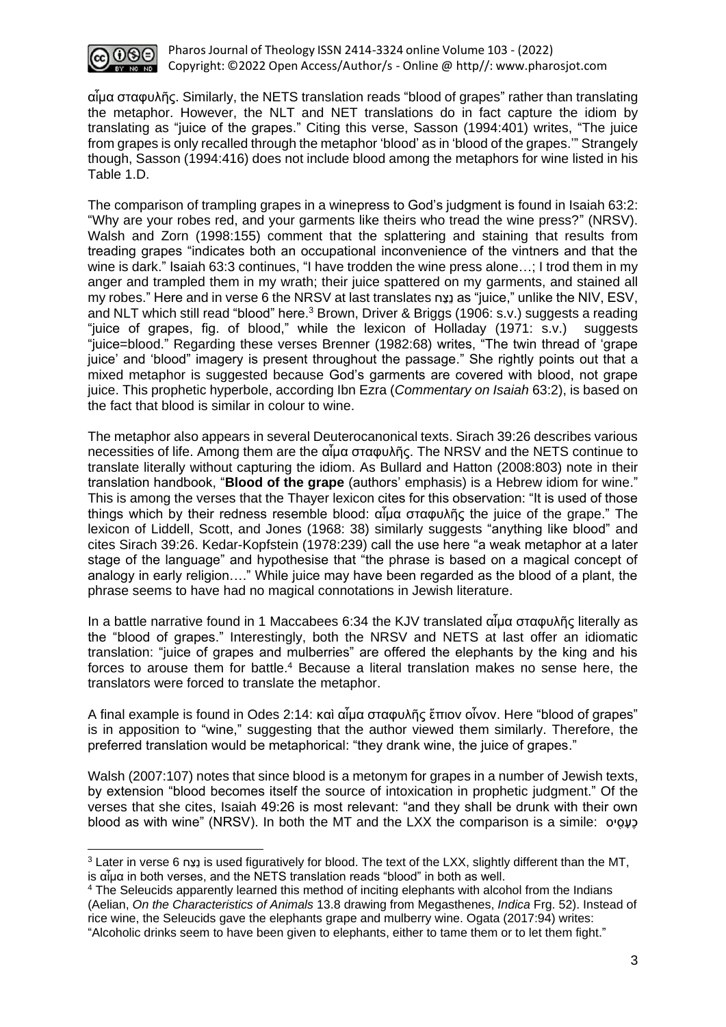

αἷμα σταφυλῆς. Similarly, the NETS translation reads "blood of grapes" rather than translating the metaphor. However, the NLT and NET translations do in fact capture the idiom by translating as "juice of the grapes." Citing this verse, Sasson (1994:401) writes, "The juice from grapes is only recalled through the metaphor 'blood' as in 'blood of the grapes.'" Strangely though, Sasson (1994:416) does not include blood among the metaphors for wine listed in his Table 1.D.

The comparison of trampling grapes in a winepress to God's judgment is found in Isaiah 63:2: "Why are your robes red, and your garments like theirs who tread the wine press?" (NRSV). Walsh and Zorn (1998:155) comment that the splattering and staining that results from treading grapes "indicates both an occupational inconvenience of the vintners and that the wine is dark." Isaiah 63:3 continues, "I have trodden the wine press alone...; I trod them in my anger and trampled them in my wrath; their juice spattered on my garments, and stained all my robes." Here and in verse 6 the NRSV at last translates חַצֵנ as "juice," unlike the NIV, ESV, and NLT which still read "blood" here. <sup>3</sup> Brown, Driver & Briggs (1906: s.v.) suggests a reading "juice of grapes, fig. of blood," while the lexicon of Holladay (1971: s.v.) suggests "juice=blood." Regarding these verses Brenner (1982:68) writes, "The twin thread of 'grape juice' and 'blood" imagery is present throughout the passage." She rightly points out that a mixed metaphor is suggested because God's garments are covered with blood, not grape juice. This prophetic hyperbole, according Ibn Ezra (*Commentary on Isaiah* 63:2), is based on the fact that blood is similar in colour to wine.

The metaphor also appears in several Deuterocanonical texts. Sirach 39:26 describes various necessities of life. Among them are the αἷμα σταφυλῆς. The NRSV and the NETS continue to translate literally without capturing the idiom. As Bullard and Hatton (2008:803) note in their translation handbook, "**Blood of the grape** (authors' emphasis) is a Hebrew idiom for wine." This is among the verses that the Thayer lexicon cites for this observation: "It is used of those things which by their redness resemble blood: αἷμα σταφυλῆς the juice of the grape." The lexicon of Liddell, Scott, and Jones (1968: 38) similarly suggests "anything like blood" and cites Sirach 39:26. Kedar-Kopfstein (1978:239) call the use here "a weak metaphor at a later stage of the language" and hypothesise that "the phrase is based on a magical concept of analogy in early religion…." While juice may have been regarded as the blood of a plant, the phrase seems to have had no magical connotations in Jewish literature.

In a battle narrative found in 1 Maccabees 6:34 the KJV translated αἷμα σταφυλῆς literally as the "blood of grapes." Interestingly, both the NRSV and NETS at last offer an idiomatic translation: "juice of grapes and mulberries" are offered the elephants by the king and his forces to arouse them for battle.<sup>4</sup> Because a literal translation makes no sense here, the translators were forced to translate the metaphor.

A final example is found in Odes 2:14: καὶ αἷμα σταφυλῆς ἔπιον οἶνον. Here "blood of grapes" is in apposition to "wine," suggesting that the author viewed them similarly. Therefore, the preferred translation would be metaphorical: "they drank wine, the juice of grapes."

Walsh (2007:107) notes that since blood is a metonym for grapes in a number of Jewish texts, by extension "blood becomes itself the source of intoxication in prophetic judgment." Of the verses that she cites, Isaiah 49:26 is most relevant: "and they shall be drunk with their own blood as with wine" (NRSV). In both the MT and the LXX the comparison is a simile: *י*ס *יוס* 

<sup>3</sup> Later in verse 6 חַצֵנ is used figuratively for blood. The text of the LXX, slightly different than the MT, is αἷμα in both verses, and the NETS translation reads "blood" in both as well.

<sup>&</sup>lt;sup>4</sup> The Seleucids apparently learned this method of inciting elephants with alcohol from the Indians (Aelian, *On the Characteristics of Animals* 13.8 drawing from Megasthenes, *Indica* Frg. 52). Instead of rice wine, the Seleucids gave the elephants grape and mulberry wine. Ogata (2017:94) writes: "Alcoholic drinks seem to have been given to elephants, either to tame them or to let them fight."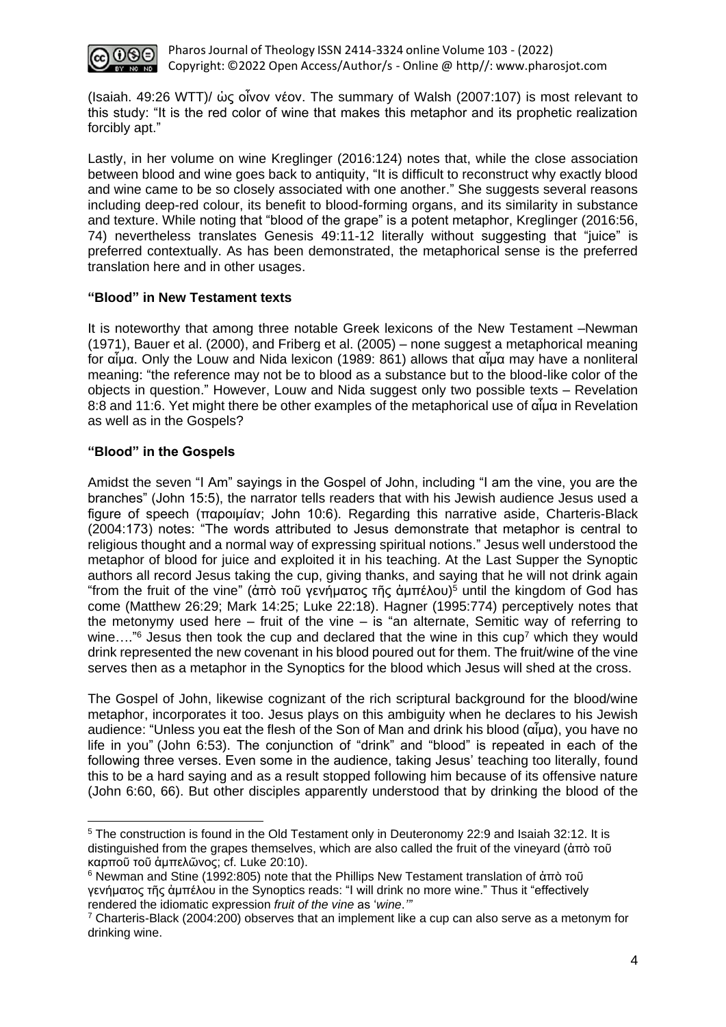

Pharos Journal of Theology ISSN 2414-3324 online Volume 103 - (2022) Copyright: ©2022 Open Access/Author/s - Online @ http//: [www.pharosjot.com](http://www.pharosjot.com/)

(Isaiah. 49:26 WTT)/ ὡς οἶνον νέον. The summary of Walsh (2007:107) is most relevant to this study: "It is the red color of wine that makes this metaphor and its prophetic realization forcibly apt."

Lastly, in her volume on wine Kreglinger (2016:124) notes that, while the close association between blood and wine goes back to antiquity, "It is difficult to reconstruct why exactly blood and wine came to be so closely associated with one another." She suggests several reasons including deep-red colour, its benefit to blood-forming organs, and its similarity in substance and texture. While noting that "blood of the grape" is a potent metaphor, Kreglinger (2016:56, 74) nevertheless translates Genesis 49:11-12 literally without suggesting that "juice" is preferred contextually. As has been demonstrated, the metaphorical sense is the preferred translation here and in other usages.

### **"Blood" in New Testament texts**

It is noteworthy that among three notable Greek lexicons of the New Testament –Newman (1971), Bauer et al. (2000), and Friberg et al. (2005) – none suggest a metaphorical meaning for αἷμα. Only the Louw and Nida lexicon (1989: 861) allows that αἷμα may have a nonliteral meaning: "the reference may not be to blood as a substance but to the blood-like color of the objects in question." However, Louw and Nida suggest only two possible texts – Revelation 8:8 and 11:6. Yet might there be other examples of the metaphorical use of αἷμα in Revelation as well as in the Gospels?

### **"Blood" in the Gospels**

Amidst the seven "I Am" sayings in the Gospel of John, including "I am the vine, you are the branches" (John 15:5), the narrator tells readers that with his Jewish audience Jesus used a figure of speech (παροιμίαν; John 10:6). Regarding this narrative aside, Charteris-Black (2004:173) notes: "The words attributed to Jesus demonstrate that metaphor is central to religious thought and a normal way of expressing spiritual notions." Jesus well understood the metaphor of blood for juice and exploited it in his teaching. At the Last Supper the Synoptic authors all record Jesus taking the cup, giving thanks, and saying that he will not drink again "from the fruit of the vine" (ἀπὸ τοῦ γενήματος τῆς ἀμπέλου) <sup>5</sup> until the kingdom of God has come (Matthew 26:29; Mark 14:25; Luke 22:18). Hagner (1995:774) perceptively notes that the metonymy used here – fruit of the vine – is "an alternate, Semitic way of referring to wine...."<sup>6</sup> Jesus then took the cup and declared that the wine in this cup<sup>7</sup> which they would drink represented the new covenant in his blood poured out for them. The fruit/wine of the vine serves then as a metaphor in the Synoptics for the blood which Jesus will shed at the cross.

The Gospel of John, likewise cognizant of the rich scriptural background for the blood/wine metaphor, incorporates it too. Jesus plays on this ambiguity when he declares to his Jewish audience: "Unless you eat the flesh of the Son of Man and drink his blood (αἷμα), you have no life in you" (John 6:53). The conjunction of "drink" and "blood" is repeated in each of the following three verses. Even some in the audience, taking Jesus' teaching too literally, found this to be a hard saying and as a result stopped following him because of its offensive nature (John 6:60, 66). But other disciples apparently understood that by drinking the blood of the

<sup>&</sup>lt;sup>5</sup> The construction is found in the Old Testament only in Deuteronomy 22:9 and Isaiah 32:12. It is distinguished from the grapes themselves, which are also called the fruit of the vineyard (ἀπὸ τοῦ καρποῦ τοῦ ἀμπελῶνος; cf. Luke 20:10).

<sup>6</sup> Newman and Stine (1992:805) note that the Phillips New Testament translation of ἀπὸ τοῦ γενήματος τῆς ἀμπέλου in the Synoptics reads: "I will drink no more wine." Thus it "effectively rendered the idiomatic expression *fruit of the vine* as '*wine*.*'"*

 $7$  Charteris-Black (2004:200) observes that an implement like a cup can also serve as a metonym for drinking wine.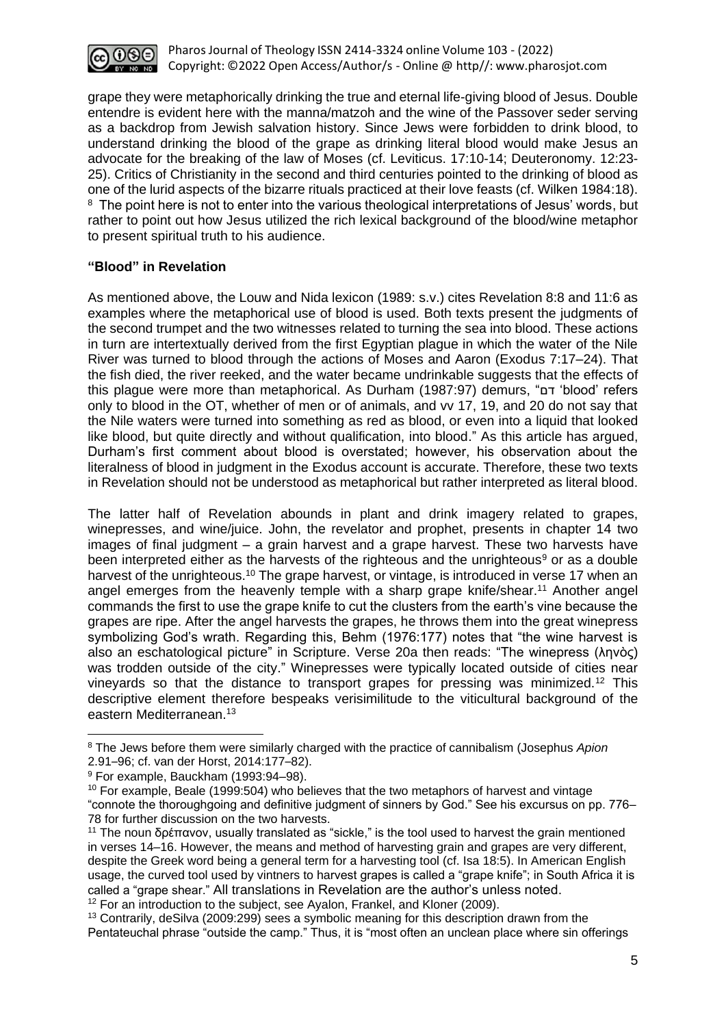

grape they were metaphorically drinking the true and eternal life-giving blood of Jesus. Double entendre is evident here with the manna/matzoh and the wine of the Passover seder serving as a backdrop from Jewish salvation history. Since Jews were forbidden to drink blood, to understand drinking the blood of the grape as drinking literal blood would make Jesus an advocate for the breaking of the law of Moses (cf. Leviticus. 17:10-14; Deuteronomy. 12:23- 25). Critics of Christianity in the second and third centuries pointed to the drinking of blood as one of the lurid aspects of the bizarre rituals practiced at their love feasts (cf. Wilken 1984:18). <sup>8</sup> The point here is not to enter into the various theological interpretations of Jesus' words, but rather to point out how Jesus utilized the rich lexical background of the blood/wine metaphor to present spiritual truth to his audience.

### **"Blood" in Revelation**

As mentioned above, the Louw and Nida lexicon (1989: s.v.) cites Revelation 8:8 and 11:6 as examples where the metaphorical use of blood is used. Both texts present the judgments of the second trumpet and the two witnesses related to turning the sea into blood. These actions in turn are intertextually derived from the first Egyptian plague in which the water of the Nile River was turned to blood through the actions of Moses and Aaron (Exodus 7:17–24). That the fish died, the river reeked, and the water became undrinkable suggests that the effects of this plague were more than metaphorical. As Durham (1987:97) demurs, "דם' blood' refers only to blood in the OT, whether of men or of animals, and vv 17, 19, and 20 do not say that the Nile waters were turned into something as red as blood, or even into a liquid that looked like blood, but quite directly and without qualification, into blood." As this article has argued, Durham's first comment about blood is overstated; however, his observation about the literalness of blood in judgment in the Exodus account is accurate. Therefore, these two texts in Revelation should not be understood as metaphorical but rather interpreted as literal blood.

The latter half of Revelation abounds in plant and drink imagery related to grapes, winepresses, and wine/juice. John, the revelator and prophet, presents in chapter 14 two images of final judgment – a grain harvest and a grape harvest. These two harvests have been interpreted either as the harvests of the righteous and the unrighteous<sup>9</sup> or as a double harvest of the unrighteous.<sup>10</sup> The grape harvest, or vintage, is introduced in verse 17 when an angel emerges from the heavenly temple with a sharp grape knife/shear.<sup>11</sup> Another angel commands the first to use the grape knife to cut the clusters from the earth's vine because the grapes are ripe. After the angel harvests the grapes, he throws them into the great winepress symbolizing God's wrath. Regarding this, Behm (1976:177) notes that "the wine harvest is also an eschatological picture" in Scripture. Verse 20a then reads: "The winepress (ληνὸς) was trodden outside of the city." Winepresses were typically located outside of cities near vineyards so that the distance to transport grapes for pressing was minimized.<sup>12</sup> This descriptive element therefore bespeaks verisimilitude to the viticultural background of the eastern Mediterranean.<sup>13</sup>

<sup>12</sup> For an introduction to the subject, see Ayalon, Frankel, and Kloner (2009).

<sup>13</sup> Contrarily, deSilva (2009:299) sees a symbolic meaning for this description drawn from the Pentateuchal phrase "outside the camp." Thus, it is "most often an unclean place where sin offerings

<sup>8</sup> The Jews before them were similarly charged with the practice of cannibalism (Josephus *Apion* 2.91–96; cf. van der Horst, 2014:177–82).

<sup>9</sup> For example, Bauckham (1993:94–98).

 $10$  For example, Beale (1999:504) who believes that the two metaphors of harvest and vintage "connote the thoroughgoing and definitive judgment of sinners by God." See his excursus on pp. 776– 78 for further discussion on the two harvests.

<sup>&</sup>lt;sup>11</sup> The noun δρέπανον, usually translated as "sickle," is the tool used to harvest the grain mentioned in verses 14–16. However, the means and method of harvesting grain and grapes are very different, despite the Greek word being a general term for a harvesting tool (cf. Isa 18:5). In American English usage, the curved tool used by vintners to harvest grapes is called a "grape knife"; in South Africa it is called a "grape shear." All translations in Revelation are the author's unless noted.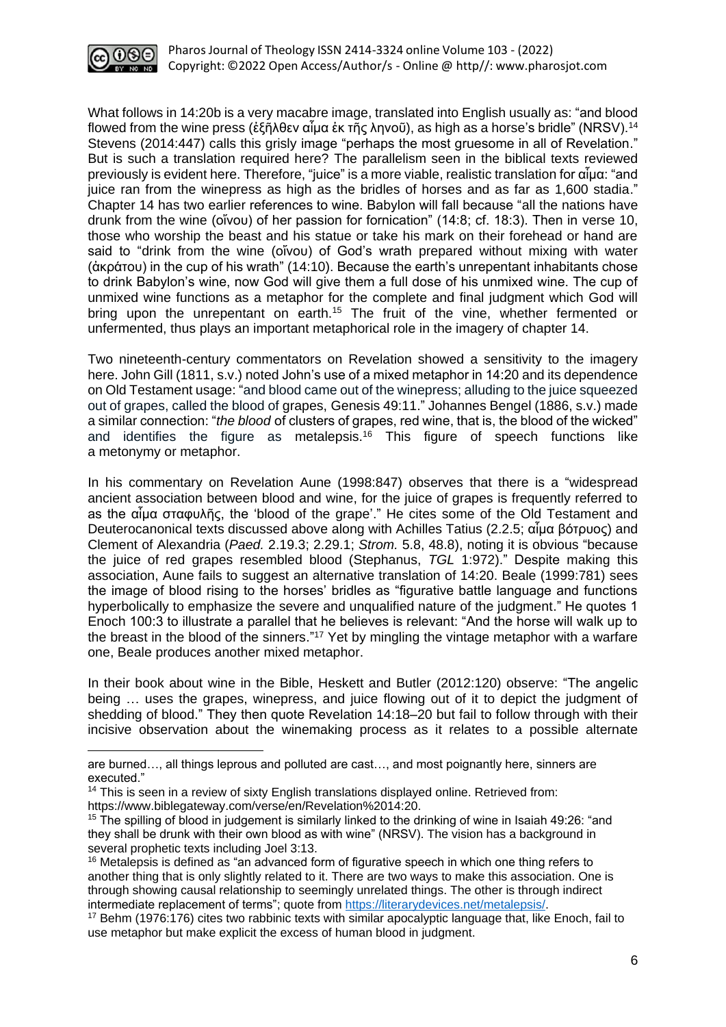

What follows in 14:20b is a very macabre image, translated into English usually as: "and blood flowed from the wine press (ἐξῆλθεν αἷμα ἐκ τῆς ληνοῦ), as high as a horse's bridle" (NRSV).<sup>14</sup> Stevens (2014:447) calls this grisly image "perhaps the most gruesome in all of Revelation." But is such a translation required here? The parallelism seen in the biblical texts reviewed previously is evident here. Therefore, "juice" is a more viable, realistic translation for αἷμα: "and juice ran from the winepress as high as the bridles of horses and as far as 1,600 stadia." Chapter 14 has two earlier references to wine. Babylon will fall because "all the nations have drunk from the wine (οἴνου) of her passion for fornication" (14:8; cf. 18:3). Then in verse 10, those who worship the beast and his statue or take his mark on their forehead or hand are said to "drink from the wine (οἴνου) of God's wrath prepared without mixing with water (ἀκράτου) in the cup of his wrath" (14:10). Because the earth's unrepentant inhabitants chose to drink Babylon's wine, now God will give them a full dose of his unmixed wine. The cup of unmixed wine functions as a metaphor for the complete and final judgment which God will bring upon the unrepentant on earth.<sup>15</sup> The fruit of the vine, whether fermented or unfermented, thus plays an important metaphorical role in the imagery of chapter 14.

Two nineteenth-century commentators on Revelation showed a sensitivity to the imagery here. John Gill (1811, s.v.) noted John's use of a mixed metaphor in 14:20 and its dependence on Old Testament usage: "and blood came out of the winepress; alluding to the juice squeezed out of grapes, called the blood of grapes, [Genesis 49:11.](https://biblehub.com/genesis/49-11.htm)" Johannes Bengel (1886, s.v.) made a similar connection: "*the blood* of clusters of grapes, red wine, that is, the blood of the wicked" and identifies the figure as metalepsis.<sup>16</sup> This figure of speech functions like a [metonymy](https://literarydevices.net/metonymy/) or [metaphor.](https://literarydevices.net/metaphor/)

In his commentary on Revelation Aune (1998:847) observes that there is a "widespread ancient association between blood and wine, for the juice of grapes is frequently referred to as the αἷμα σταφυλῆς, the 'blood of the grape'." He cites some of the Old Testament and Deuterocanonical texts discussed above along with Achilles Tatius (2.2.5; αἷμα βότρυος) and Clement of Alexandria (*Paed.* 2.19.3; 2.29.1; *Strom.* 5.8, 48.8), noting it is obvious "because the juice of red grapes resembled blood (Stephanus, *TGL* 1:972)." Despite making this association. Aune fails to suggest an alternative translation of 14:20. Beale (1999:781) sees the image of blood rising to the horses' bridles as "figurative battle language and functions hyperbolically to emphasize the severe and unqualified nature of the judgment." He quotes 1 Enoch 100:3 to illustrate a parallel that he believes is relevant: "And the horse will walk up to the breast in the blood of the sinners."<sup>17</sup> Yet by mingling the vintage metaphor with a warfare one, Beale produces another mixed metaphor.

In their book about wine in the Bible, Heskett and Butler (2012:120) observe: "The angelic being … uses the grapes, winepress, and juice flowing out of it to depict the judgment of shedding of blood." They then quote Revelation 14:18–20 but fail to follow through with their incisive observation about the winemaking process as it relates to a possible alternate

are burned…, all things leprous and polluted are cast…, and most poignantly here, sinners are executed."

<sup>&</sup>lt;sup>14</sup> This is seen in a review of sixty English translations displayed online. Retrieved from: [https://www.biblegateway.com/verse/en/Revelation%2014:20.](https://www.biblegateway.com/verse/en/Revelation%2014:20)

 $15$  The spilling of blood in judgement is similarly linked to the drinking of wine in Isaiah 49:26: "and they shall be drunk with their own blood as with wine" (NRSV). The vision has a background in several prophetic texts including Joel 3:13.

<sup>&</sup>lt;sup>16</sup> Metalepsis is defined as "an advanced form of figurative speech in which one thing refers to another thing that is only slightly related to it. There are two ways to make this association. One is through showing causal relationship to seemingly unrelated things. The other is through indirect intermediate replacement of terms"; quote from [https://literarydevices.net/metalepsis/.](https://literarydevices.net/metalepsis/)

<sup>&</sup>lt;sup>17</sup> Behm (1976:176) cites two rabbinic texts with similar apocalyptic language that, like Enoch, fail to use metaphor but make explicit the excess of human blood in judgment.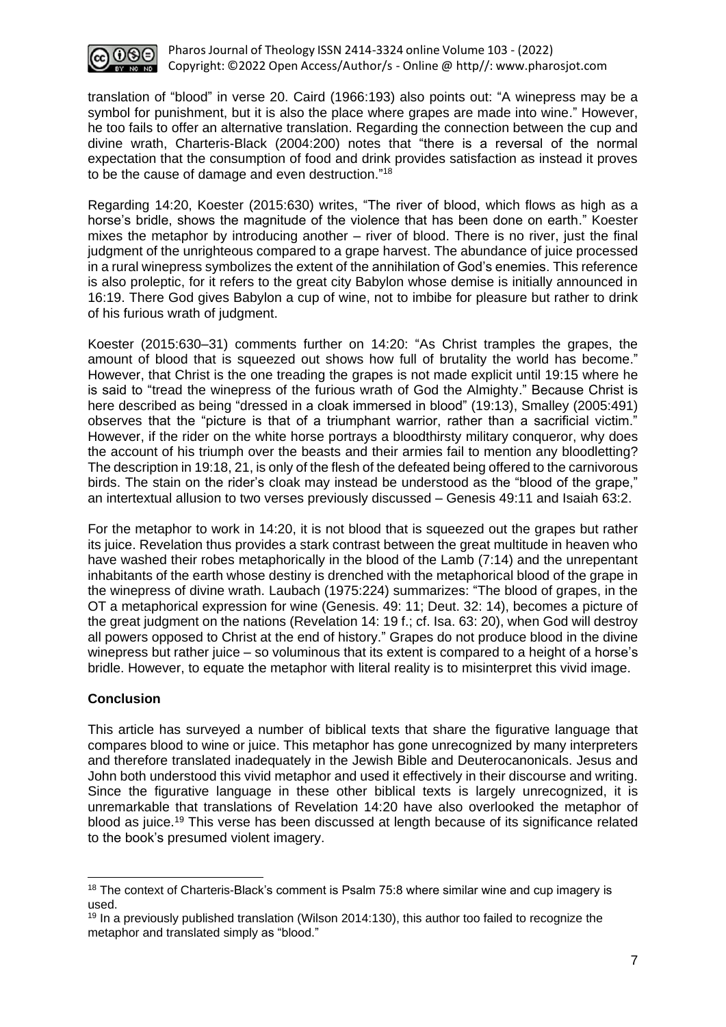

translation of "blood" in verse 20. Caird (1966:193) also points out: "A winepress may be a symbol for punishment, but it is also the place where grapes are made into wine." However, he too fails to offer an alternative translation. Regarding the connection between the cup and divine wrath, Charteris-Black (2004:200) notes that "there is a reversal of the normal expectation that the consumption of food and drink provides satisfaction as instead it proves to be the cause of damage and even destruction."<sup>18</sup>

Regarding 14:20, Koester (2015:630) writes, "The river of blood, which flows as high as a horse's bridle, shows the magnitude of the violence that has been done on earth." Koester mixes the metaphor by introducing another  $-$  river of blood. There is no river, just the final judgment of the unrighteous compared to a grape harvest. The abundance of juice processed in a rural winepress symbolizes the extent of the annihilation of God's enemies. This reference is also proleptic, for it refers to the great city Babylon whose demise is initially announced in 16:19. There God gives Babylon a cup of wine, not to imbibe for pleasure but rather to drink of his furious wrath of judgment.

Koester (2015:630–31) comments further on 14:20: "As Christ tramples the grapes, the amount of blood that is squeezed out shows how full of brutality the world has become." However, that Christ is the one treading the grapes is not made explicit until 19:15 where he is said to "tread the winepress of the furious wrath of God the Almighty." Because Christ is here described as being "dressed in a cloak immersed in blood" (19:13), Smalley (2005:491) observes that the "picture is that of a triumphant warrior, rather than a sacrificial victim." However, if the rider on the white horse portrays a bloodthirsty military conqueror, why does the account of his triumph over the beasts and their armies fail to mention any bloodletting? The description in 19:18, 21, is only of the flesh of the defeated being offered to the carnivorous birds. The stain on the rider's cloak may instead be understood as the "blood of the grape," an intertextual allusion to two verses previously discussed – Genesis 49:11 and Isaiah 63:2.

For the metaphor to work in 14:20, it is not blood that is squeezed out the grapes but rather its juice. Revelation thus provides a stark contrast between the great multitude in heaven who have washed their robes metaphorically in the blood of the Lamb (7:14) and the unrepentant inhabitants of the earth whose destiny is drenched with the metaphorical blood of the grape in the winepress of divine wrath. Laubach (1975:224) summarizes: "The blood of grapes, in the OT a metaphorical expression for wine (Genesis. 49: 11; Deut. 32: 14), becomes a picture of the great judgment on the nations (Revelation 14: 19 f.; cf. Isa. 63: 20), when God will destroy all powers opposed to Christ at the end of history." Grapes do not produce blood in the divine winepress but rather juice – so voluminous that its extent is compared to a height of a horse's bridle. However, to equate the metaphor with literal reality is to misinterpret this vivid image.

### **Conclusion**

This article has surveyed a number of biblical texts that share the figurative language that compares blood to wine or juice. This metaphor has gone unrecognized by many interpreters and therefore translated inadequately in the Jewish Bible and Deuterocanonicals. Jesus and John both understood this vivid metaphor and used it effectively in their discourse and writing. Since the figurative language in these other biblical texts is largely unrecognized, it is unremarkable that translations of Revelation 14:20 have also overlooked the metaphor of blood as juice.<sup>19</sup> This verse has been discussed at length because of its significance related to the book's presumed violent imagery.

<sup>&</sup>lt;sup>18</sup> The context of Charteris-Black's comment is Psalm 75:8 where similar wine and cup imagery is used.

 $19$  In a previously published translation (Wilson 2014:130), this author too failed to recognize the metaphor and translated simply as "blood."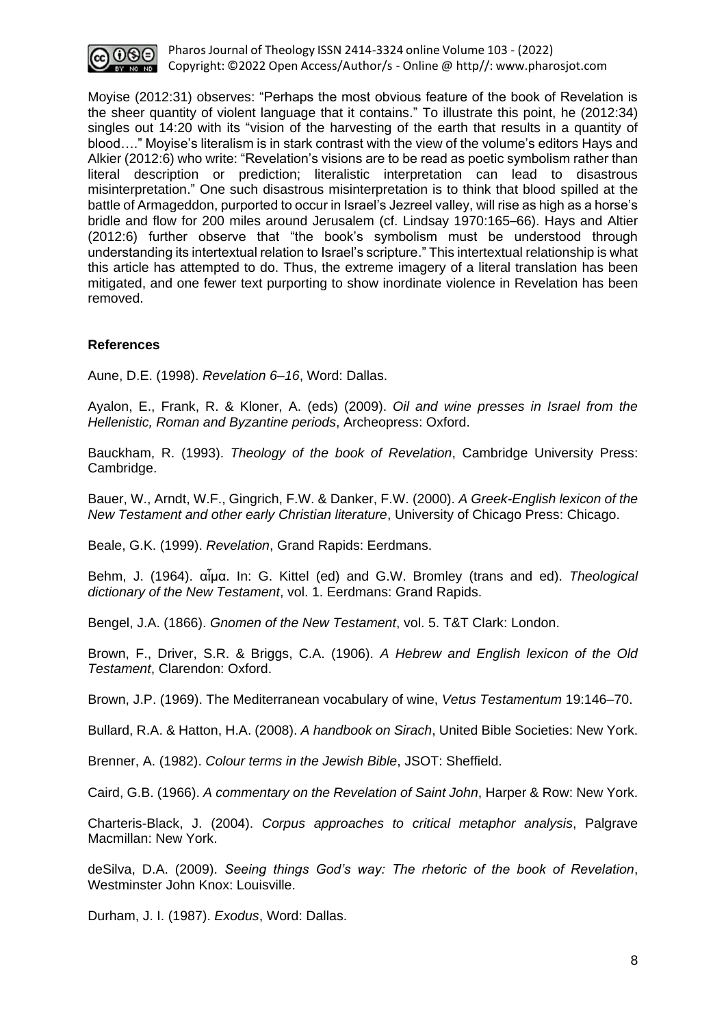

Pharos Journal of Theology ISSN 2414-3324 online Volume 103 - (2022) Copyright: ©2022 Open Access/Author/s - Online @ http//: [www.pharosjot.com](http://www.pharosjot.com/)

Moyise (2012:31) observes: "Perhaps the most obvious feature of the book of Revelation is the sheer quantity of violent language that it contains." To illustrate this point, he (2012:34) singles out 14:20 with its "vision of the harvesting of the earth that results in a quantity of blood…." Moyise's literalism is in stark contrast with the view of the volume's editors Hays and Alkier (2012:6) who write: "Revelation's visions are to be read as poetic symbolism rather than literal description or prediction; literalistic interpretation can lead to disastrous misinterpretation." One such disastrous misinterpretation is to think that blood spilled at the battle of Armageddon, purported to occur in Israel's Jezreel valley, will rise as high as a horse's bridle and flow for 200 miles around Jerusalem (cf. Lindsay 1970:165–66). Hays and Altier (2012:6) further observe that "the book's symbolism must be understood through understanding its intertextual relation to Israel's scripture." This intertextual relationship is what this article has attempted to do. Thus, the extreme imagery of a literal translation has been mitigated, and one fewer text purporting to show inordinate violence in Revelation has been removed.

#### **References**

Aune, D.E. (1998). *[Revelation 6–16](https://ref.ly/logosres/wbc52b?ref=Bible.Re14.20b&off=225&ctx=six+hundred+stadia.%E2%80%9D~+There+is+a+widespre)*, Word: Dallas.

Ayalon, E., Frank, R. & Kloner, A. (eds) (2009). *Oil and wine presses in Israel from the Hellenistic, Roman and Byzantine periods*, Archeopress: Oxford.

Bauckham, R. (1993). *Theology of the book of Revelation*, Cambridge University Press: Cambridge.

Bauer, W., Arndt, W.F., Gingrich, F.W. & Danker, F.W. (2000). *A Greek-English lexicon of the New Testament and other early Christian literature*, University of Chicago Press: Chicago.

Beale, G.K. (1999). *Revelation*, Grand Rapids: Eerdmans.

Behm, J. (1964). αἷμα. In: G. Kittel (ed) and G.W. Bromley (trans and ed). *Theological dictionary of the New Testament*, vol. 1. Eerdmans: Grand Rapids.

Bengel, J.A. (1866). *Gnomen of the New Testament*, vol. 5. T&T Clark: London.

Brown, F., Driver, S.R. & Briggs, C.A. (1906). *A Hebrew and English lexicon of the Old Testament*, Clarendon: Oxford.

Brown, J.P. (1969). The Mediterranean vocabulary of wine, *Vetus Testamentum* 19:146–70.

Bullard, R.A. & Hatton, H.A. (2008). *A handbook on Sirach*, United Bible Societies: New York.

Brenner, A. (1982). *Colour terms in the Jewish Bible*, JSOT: Sheffield.

Caird, G.B. (1966). *A commentary on the Revelation of Saint John*, Harper & Row: New York.

Charteris-Black, J. (2004). *Corpus approaches to critical metaphor analysis*, Palgrave Macmillan: New York.

deSilva, D.A. (2009). *Seeing things God's way: The rhetoric of the book of Revelation*, Westminster John Knox: Louisville.

Durham, J. I. (1987). *[Exodus](https://ref.ly/logosres/wbc03?ref=BibleBHS.Ex7.16-17&off=404&ctx=+will+become+blood.+~%D7%93%D7%9D+%E2%80%9Cblood%E2%80%9D+refers+on)*, Word: Dallas.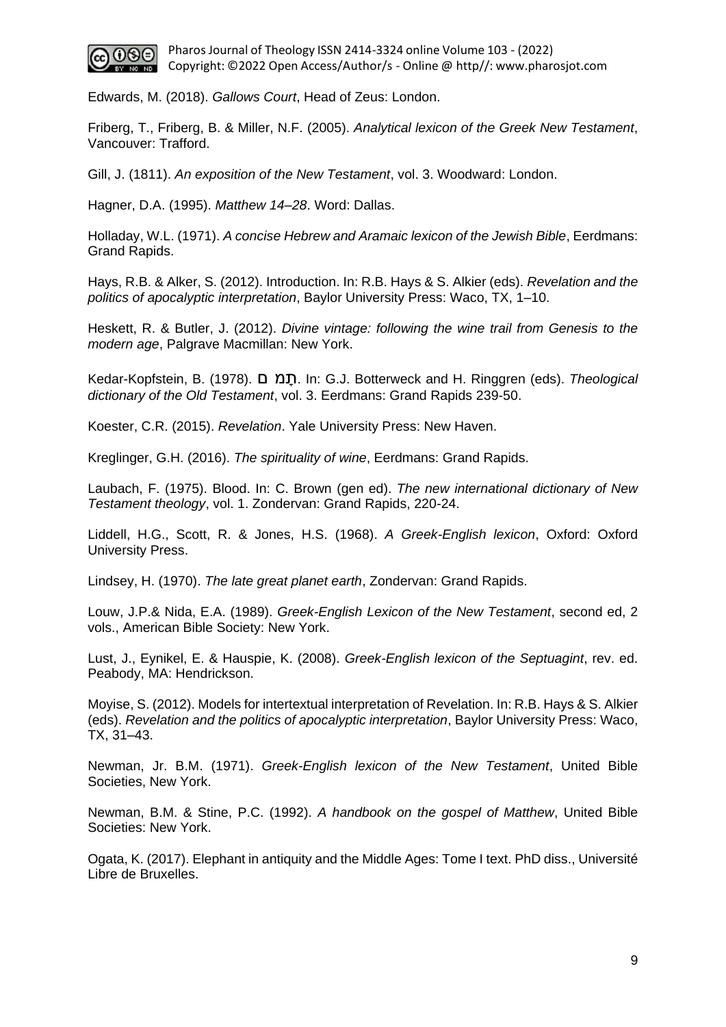

Edwards, M. (2018). *Gallows Court*, Head of Zeus: London.

Friberg, T., Friberg, B. & Miller, N.F. (2005). *Analytical lexicon of the Greek New Testament*, Vancouver: Trafford.

Gill, J. (1811). *An exposition of the New Testament*, vol. 3. Woodward: London.

Hagner, D.A. (1995). *[Matthew 14–28](https://ref.ly/logosres/wbc33b?ref=Bible.Mt26.29&off=499&ctx=eal+(cf.+vv+47%E2%80%9356).+~When+Jesus+next+drin)*. Word: Dallas.

Holladay, W.L. (1971). *A concise Hebrew and Aramaic lexicon of the Jewish Bible*, Eerdmans: Grand Rapids.

Hays, R.B. & Alker, S. (2012). Introduction. In: R.B. Hays & S. Alkier (eds). *Revelation and the politics of apocalyptic interpretation*, Baylor University Press: Waco, TX, 1–10.

Heskett, R. & Butler, J. (2012). *Divine vintage: following the wine trail from Genesis to the modern age*, Palgrave Macmillan: New York.

Kedar-Kopfstein, B. (1978). **חֲמ** ם. In: G.J. Botterweck and H. Ringgren (eds). *Theological dictionary of the Old Testament*, vol. 3. Eerdmans: Grand Rapids 239-50.

Koester, C.R. (2015). *Revelation*. Yale University Press: New Haven.

Kreglinger, G.H. (2016). *The spirituality of wine*, Eerdmans: Grand Rapids.

Laubach, F. (1975). Blood. In: C. Brown (gen ed). *The new international dictionary of New Testament theology*, vol. 1. Zondervan: Grand Rapids, 220-24.

Liddell, H.G., Scott, R. & Jones, H.S. (1968). *A Greek-English lexicon*, Oxford: Oxford University Press.

Lindsey, H. (1970). *The late great planet earth*, Zondervan: Grand Rapids.

Louw, J.P.& Nida, E.A. (1989). *Greek-English Lexicon of the New Testament*, second ed, 2 vols., American Bible Society: New York.

Lust, J., Eynikel, E. & Hauspie, K. (2008). *Greek-English lexicon of the Septuagint*, rev. ed. Peabody, MA: Hendrickson.

Moyise, S. (2012). Models for intertextual interpretation of Revelation. In: R.B. Hays & S. Alkier (eds). *Revelation and the politics of apocalyptic interpretation*, Baylor University Press: Waco, TX, 31–43.

Newman, Jr. B.M. (1971). *Greek-English lexicon of the New Testament*, United Bible Societies, New York.

Newman, B.M. & Stine, P.C. (1992). *[A handbook on the gospel of Matthew](https://ref.ly/logosres/ubshbk61?ref=Bible.Mt26.29&off=1090&ctx=e.+Although+TEV+has+~effectively+rendered)*, United Bible Societies: New York.

Ogata, K. (2017). Elephant in antiquity and the Middle Ages: Tome I text. PhD diss., Université Libre de Bruxelles.